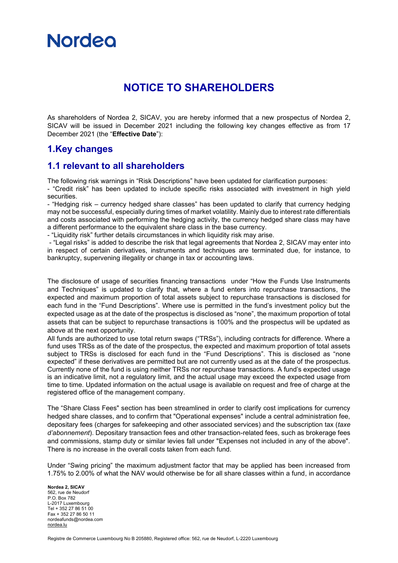

# **NOTICE TO SHAREHOLDERS**

As shareholders of Nordea 2, SICAV, you are hereby informed that a new prospectus of Nordea 2, SICAV will be issued in December 2021 including the following key changes effective as from 17 December 2021 (the "**Effective Date**"):

#### **1.Key changes**

#### **1.1 relevant to all shareholders**

The following risk warnings in "Risk Descriptions" have been updated for clarification purposes:

- "Credit risk" has been updated to include specific risks associated with investment in high yield securities.

- "Hedging risk – currency hedged share classes" has been updated to clarify that currency hedging may not be successful, especially during times of market volatility. Mainly due to interest rate differentials and costs associated with performing the hedging activity, the currency hedged share class may have a different performance to the equivalent share class in the base currency.

- "Liquidity risk" further details circumstances in which liquidity risk may arise.

- "Legal risks" is added to describe the risk that legal agreements that Nordea 2, SICAV may enter into in respect of certain derivatives, instruments and techniques are terminated due, for instance, to bankruptcy, supervening illegality or change in tax or accounting laws.

The disclosure of usage of securities financing transactions under "How the Funds Use Instruments and Techniques" is updated to clarify that, where a fund enters into repurchase transactions, the expected and maximum proportion of total assets subject to repurchase transactions is disclosed for each fund in the "Fund Descriptions". Where use is permitted in the fund's investment policy but the expected usage as at the date of the prospectus is disclosed as "none", the maximum proportion of total assets that can be subject to repurchase transactions is 100% and the prospectus will be updated as above at the next opportunity.

All funds are authorized to use total return swaps ("TRSs"), including contracts for difference. Where a fund uses TRSs as of the date of the prospectus, the expected and maximum proportion of total assets subject to TRSs is disclosed for each fund in the "Fund Descriptions". This is disclosed as "none expected" if these derivatives are permitted but are not currently used as at the date of the prospectus. Currently none of the fund is using neither TRSs nor repurchase transactions. A fund's expected usage is an indicative limit, not a regulatory limit, and the actual usage may exceed the expected usage from time to time. Updated information on the actual usage is available on request and free of charge at the registered office of the management company.

The "Share Class Fees" section has been streamlined in order to clarify cost implications for currency hedged share classes, and to confirm that "Operational expenses" include a central administration fee, depositary fees (charges for safekeeping and other associated services) and the subscription tax (*taxe d'abonnement*). Depositary transaction fees and other transaction-related fees, such as brokerage fees and commissions, stamp duty or similar levies fall under "Expenses not included in any of the above". There is no increase in the overall costs taken from each fund.

Under "Swing pricing" the maximum adjustment factor that may be applied has been increased from 1.75% to 2.00% of what the NAV would otherwise be for all share classes within a fund, in accordance

**Nordea 2, SICAV** 562, rue de Neudorf P.O. Box 782 L-2017 Luxembourg Tel + 352 27 86 51 00 Fax + 352 27 86 50 11 nordeafunds@nordea.com [nordea.lu](http://www.nordea.lu/)

Registre de Commerce Luxembourg No B 205880, Registered office: 562, rue de Neudorf, L-2220 Luxembourg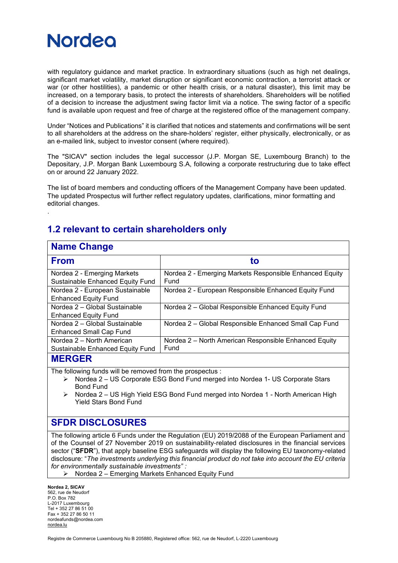

with regulatory guidance and market practice. In extraordinary situations (such as high net dealings, significant market volatility, market disruption or significant economic contraction, a terrorist attack or war (or other hostilities), a pandemic or other health crisis, or a natural disaster), this limit may be increased, on a temporary basis, to protect the interests of shareholders. Shareholders will be notified of a decision to increase the adjustment swing factor limit via a notice. The swing factor of a specific fund is available upon request and free of charge at the registered office of the management company.

Under "Notices and Publications" it is clarified that notices and statements and confirmations will be sent to all shareholders at the address on the share-holders' register, either physically, electronically, or as an e-mailed link, subject to investor consent (where required).

The "SICAV" section includes the legal successor (J.P. Morgan SE, Luxembourg Branch) to the Depositary, J.P. Morgan Bank Luxembourg S.A, following a corporate restructuring due to take effect on or around 22 January 2022.

The list of board members and conducting officers of the Management Company have been updated. The updated Prospectus will further reflect regulatory updates, clarifications, minor formatting and editorial changes.

### **1.2 relevant to certain shareholders only**

## **Name Change**

.

| <u>.</u> .                              |                                                         |
|-----------------------------------------|---------------------------------------------------------|
| <b>From</b>                             | tο                                                      |
| Nordea 2 - Emerging Markets             | Nordea 2 - Emerging Markets Responsible Enhanced Equity |
| <b>Sustainable Enhanced Equity Fund</b> | Fund                                                    |
| Nordea 2 - European Sustainable         | Nordea 2 - European Responsible Enhanced Equity Fund    |
| <b>Enhanced Equity Fund</b>             |                                                         |
| Nordea 2 - Global Sustainable           | Nordea 2 - Global Responsible Enhanced Equity Fund      |
| <b>Enhanced Equity Fund</b>             |                                                         |
| Nordea 2 - Global Sustainable           | Nordea 2 - Global Responsible Enhanced Small Cap Fund   |
| <b>Enhanced Small Cap Fund</b>          |                                                         |
| Nordea 2 - North American               | Nordea 2 – North American Responsible Enhanced Equity   |
| <b>Sustainable Enhanced Equity Fund</b> | Fund                                                    |
| BIFRAFR                                 |                                                         |

#### **MERGER**

The following funds will be removed from the prospectus :

- ➢ Nordea 2 US Corporate ESG Bond Fund merged into Nordea 1- US Corporate Stars Bond Fund
- ➢ Nordea 2 US High Yield ESG Bond Fund merged into Nordea 1 North American High Yield Stars Bond Fund

#### **SFDR DISCLOSURES**

The following article 6 Funds under the Regulation (EU) 2019/2088 of the European Parliament and of the Counsel of 27 November 2019 on sustainability‐related disclosures in the financial services sector ("**SFDR**"), that apply baseline ESG safeguards will display the following EU taxonomy-related disclosure: "*The investments underlying this financial product do not take into account the EU criteria for environmentally sustainable investments" :* 

➢ Nordea 2 – Emerging Markets Enhanced Equity Fund

**Nordea 2, SICAV** 562, rue de Neudorf P.O. Box 782 L-2017 Luxembourg Tel + 352 27 86 51 00 Fax + 352 27 86 50 11 nordeafunds@nordea.com [nordea.lu](http://www.nordea.lu/)

Registre de Commerce Luxembourg No B 205880, Registered office: 562, rue de Neudorf, L-2220 Luxembourg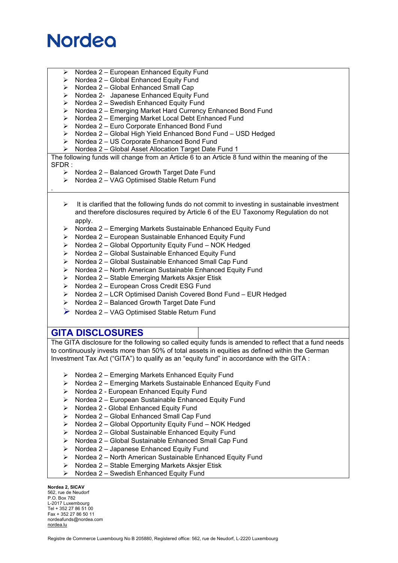# **Nordeo**

- ➢ Nordea 2 European Enhanced Equity Fund
- ➢ Nordea 2 Global Enhanced Equity Fund
- ➢ Nordea 2 Global Enhanced Small Cap
- ➢ Nordea 2- Japanese Enhanced Equity Fund
- $\triangleright$  Nordea 2 Swedish Enhanced Equity Fund
- ➢ Nordea 2 Emerging Market Hard Currency Enhanced Bond Fund
- ➢ Nordea 2 Emerging Market Local Debt Enhanced Fund
- ➢ Nordea 2 Euro Corporate Enhanced Bond Fund
- ➢ Nordea 2 Global High Yield Enhanced Bond Fund USD Hedged
- ➢ Nordea 2 US Corporate Enhanced Bond Fund
- ➢ Nordea 2 Global Asset Allocation Target Date Fund 1

The following funds will change from an Article 6 to an Article 8 fund within the meaning of the SFDR :

- ➢ Nordea 2 Balanced Growth Target Date Fund
- ➢ Nordea 2 VAG Optimised Stable Return Fund

### .

- $\triangleright$  It is clarified that the following funds do not commit to investing in sustainable investment and therefore disclosures required by Article 6 of the EU Taxonomy Regulation do not apply.
- ➢ Nordea 2 Emerging Markets Sustainable Enhanced Equity Fund
- ➢ Nordea 2 European Sustainable Enhanced Equity Fund
- ➢ Nordea 2 Global Opportunity Equity Fund NOK Hedged
- Nordea 2 Global Sustainable Enhanced Equity Fund
- ➢ Nordea 2 Global Sustainable Enhanced Small Cap Fund
- ➢ Nordea 2 North American Sustainable Enhanced Equity Fund
- ➢ Nordea 2 Stable Emerging Markets Aksjer Etisk
- ➢ Nordea 2 European Cross Credit ESG Fund
- ➢ Nordea 2 LCR Optimised Danish Covered Bond Fund EUR Hedged
- ➢ Nordea 2 Balanced Growth Target Date Fund
- ➢ Nordea 2 VAG Optimised Stable Return Fund

#### **GITA DISCLOSURES**

The GITA disclosure for the following so called equity funds is amended to reflect that a fund needs to continuously invests more than 50% of total assets in equities as defined within the German Investment Tax Act ("GITA") to qualify as an "equity fund" in accordance with the GITA :

- ➢ Nordea 2 Emerging Markets Enhanced Equity Fund
- ➢ Nordea 2 Emerging Markets Sustainable Enhanced Equity Fund
- ➢ Nordea 2 European Enhanced Equity Fund
- ➢ Nordea 2 European Sustainable Enhanced Equity Fund
- ➢ Nordea 2 Global Enhanced Equity Fund
- ➢ Nordea 2 Global Enhanced Small Cap Fund
- ➢ Nordea 2 Global Opportunity Equity Fund NOK Hedged
- ➢ Nordea 2 Global Sustainable Enhanced Equity Fund
- ➢ Nordea 2 Global Sustainable Enhanced Small Cap Fund
- ➢ Nordea 2 Japanese Enhanced Equity Fund
- ➢ Nordea 2 North American Sustainable Enhanced Equity Fund
- ➢ Nordea 2 Stable Emerging Markets Aksjer Etisk
- ➢ Nordea 2 Swedish Enhanced Equity Fund

**Nordea 2, SICAV** 562, rue de Neudorf P.O. Box 782 L-2017 Luxembourg Tel + 352 27 86 51 00 Fax + 352 27 86 50 11 nordeafunds@nordea.com [nordea.lu](http://www.nordea.lu/)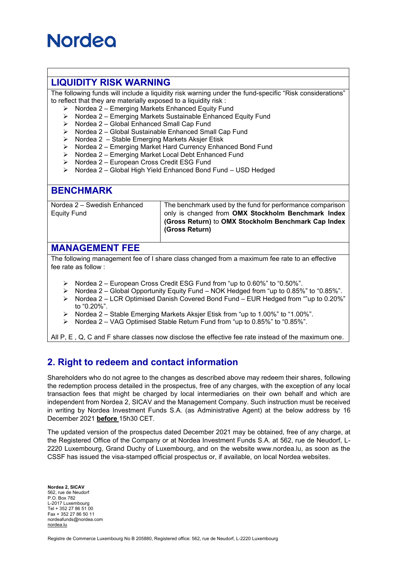# **Nordeo**

### **LIQUIDITY RISK WARNING**

The following funds will include a liquidity risk warning under the fund-specific "Risk considerations" to reflect that they are materially exposed to a liquidity risk :

- ➢ Nordea 2 Emerging Markets Enhanced Equity Fund
- ➢ Nordea 2 Emerging Markets Sustainable Enhanced Equity Fund
- ➢ Nordea 2 Global Enhanced Small Cap Fund
- ➢ Nordea 2 Global Sustainable Enhanced Small Cap Fund
- ➢ Nordea 2 Stable Emerging Markets Aksjer Etisk
- ➢ Nordea 2 Emerging Market Hard Currency Enhanced Bond Fund
- ➢ Nordea 2 Emerging Market Local Debt Enhanced Fund
- ➢ Nordea 2 European Cross Credit ESG Fund
- ➢ Nordea 2 Global High Yield Enhanced Bond Fund USD Hedged

#### **BENCHMARK**

Nordea 2 – Swedish Enhanced Equity Fund

The benchmark used by the fund for performance comparison only is changed from **OMX Stockholm Benchmark Index (Gross Return)** to **OMX Stockholm Benchmark Cap Index (Gross Return)**

#### **MANAGEMENT FEE**

The following management fee of I share class changed from a maximum fee rate to an effective fee rate as follow :

- ➢ Nordea 2 European Cross Credit ESG Fund from "up to 0.60%" to "0.50%".
- ➢ Nordea 2 Global Opportunity Equity Fund NOK Hedged from "up to 0.85%" to "0.85%".
- ➢ Nordea 2 LCR Optimised Danish Covered Bond Fund EUR Hedged from ""up to 0.20%" to "0.20%".
- ➢ Nordea 2 Stable Emerging Markets Aksjer Etisk from "up to 1.00%" to "1.00%".
- $\triangleright$  Nordea 2 VAG Optimised Stable Return Fund from "up to 0.85%" to "0.85%".

All P, E , Q, C and F share classes now disclose the effective fee rate instead of the maximum one.

## **2. Right to redeem and contact information**

Shareholders who do not agree to the changes as described above may redeem their shares, following the redemption process detailed in the prospectus, free of any charges, with the exception of any local transaction fees that might be charged by local intermediaries on their own behalf and which are independent from Nordea 2, SICAV and the Management Company. Such instruction must be received in writing by Nordea Investment Funds S.A. (as Administrative Agent) at the below address by 16 December 2021 **before** 15h30 CET.

The updated version of the prospectus dated December 2021 may be obtained, free of any charge, at the Registered Office of the Company or at Nordea Investment Funds S.A. at 562, rue de Neudorf, L-2220 Luxembourg, Grand Duchy of Luxembourg, and on the website www.nordea.lu, as soon as the CSSF has issued the visa-stamped official prospectus or, if available, on local Nordea websites.

**Nordea 2, SICAV** 562, rue de Neudorf P.O. Box 782 L-2017 Luxembourg Tel + 352 27 86 51 00 Fax + 352 27 86 50 11 nordeafunds@nordea.com [nordea.lu](http://www.nordea.lu/)